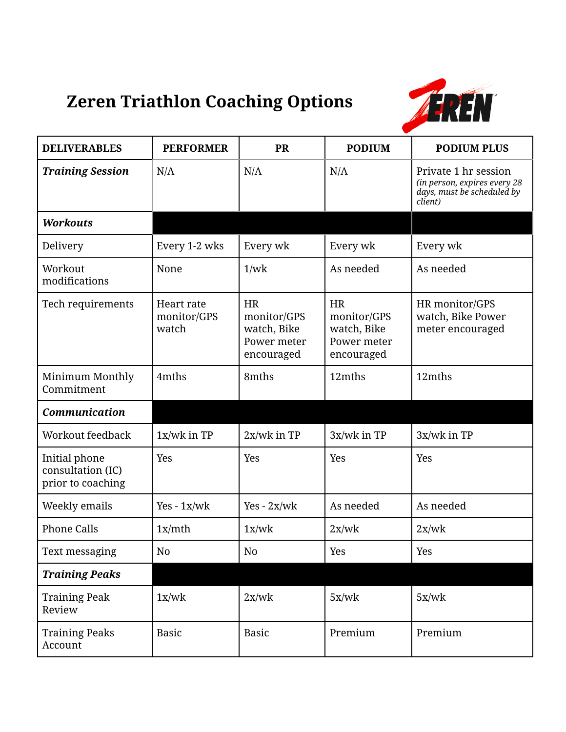## **Zeren Triathlon Coaching Options**



| <b>DELIVERABLES</b>                                     | <b>PERFORMER</b>                   | <b>PR</b>                                                            | <b>PODIUM</b>                                                        | <b>PODIUM PLUS</b>                                                                            |
|---------------------------------------------------------|------------------------------------|----------------------------------------------------------------------|----------------------------------------------------------------------|-----------------------------------------------------------------------------------------------|
| <b>Training Session</b>                                 | N/A                                | N/A                                                                  | N/A                                                                  | Private 1 hr session<br>(in person, expires every 28<br>days, must be scheduled by<br>client) |
| <b>Workouts</b>                                         |                                    |                                                                      |                                                                      |                                                                                               |
| Delivery                                                | Every 1-2 wks                      | Every wk                                                             | Every wk                                                             | Every wk                                                                                      |
| Workout<br>modifications                                | None                               | 1/wk                                                                 | As needed                                                            | As needed                                                                                     |
| Tech requirements                                       | Heart rate<br>monitor/GPS<br>watch | <b>HR</b><br>monitor/GPS<br>watch, Bike<br>Power meter<br>encouraged | <b>HR</b><br>monitor/GPS<br>watch, Bike<br>Power meter<br>encouraged | HR monitor/GPS<br>watch, Bike Power<br>meter encouraged                                       |
| Minimum Monthly<br>Commitment                           | 4mths                              | 8mths                                                                | 12mths                                                               | 12mths                                                                                        |
| Communication                                           |                                    |                                                                      |                                                                      |                                                                                               |
| Workout feedback                                        | $1x/wk$ in TP                      | $2x/wk$ in TP                                                        | $3x/wk$ in TP                                                        | 3x/wk in TP                                                                                   |
| Initial phone<br>consultation (IC)<br>prior to coaching | Yes                                | Yes                                                                  | Yes                                                                  | Yes                                                                                           |
| Weekly emails                                           | $Yes - 1x/wk$                      | $Yes - 2x/wk$                                                        | As needed                                                            | As needed                                                                                     |
| <b>Phone Calls</b>                                      | 1x/mth                             | 1x/wk                                                                | 2x/wk                                                                | 2x/wk                                                                                         |
| Text messaging                                          | No                                 | No                                                                   | Yes                                                                  | Yes                                                                                           |
| <b>Training Peaks</b>                                   |                                    |                                                                      |                                                                      |                                                                                               |
| <b>Training Peak</b><br>Review                          | 1x/wk                              | 2x/wk                                                                | 5x/wk                                                                | 5x/wk                                                                                         |
| <b>Training Peaks</b><br>Account                        | <b>Basic</b>                       | <b>Basic</b>                                                         | Premium                                                              | Premium                                                                                       |